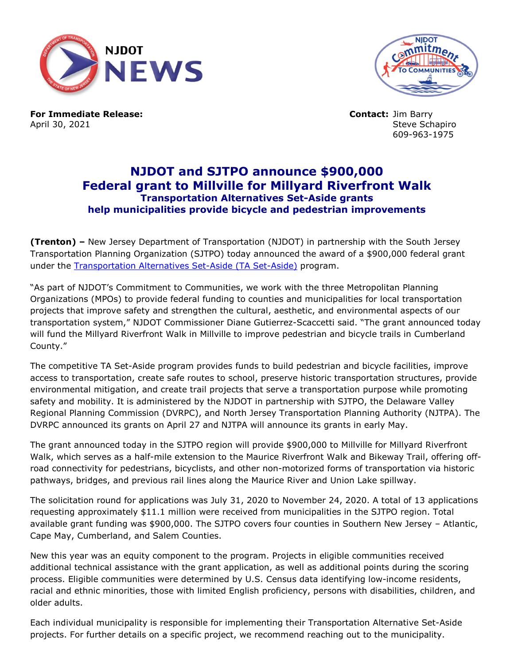



**For Immediate Release: Contact:** Jim Barry April 30, 2021 Steve Schapiro

609-963-1975

## **NJDOT and SJTPO announce \$900,000 Federal grant to Millville for Millyard Riverfront Walk Transportation Alternatives Set-Aside grants help municipalities provide bicycle and pedestrian improvements**

**(Trenton) –** New Jersey Department of Transportation (NJDOT) in partnership with the South Jersey Transportation Planning Organization (SJTPO) today announced the award of a \$900,000 federal grant under the [Transportation Alternatives Set-Aside](https://www.state.nj.us/transportation/business/localaid/alternatives.shtm) (TA Set-Aside) program.

"As part of NJDOT's Commitment to Communities, we work with the three Metropolitan Planning Organizations (MPOs) to provide federal funding to counties and municipalities for local transportation projects that improve safety and strengthen the cultural, aesthetic, and environmental aspects of our transportation system," NJDOT Commissioner Diane Gutierrez-Scaccetti said. "The grant announced today will fund the Millyard Riverfront Walk in Millville to improve pedestrian and bicycle trails in Cumberland County."

The competitive TA Set-Aside program provides funds to build pedestrian and bicycle facilities, improve access to transportation, create safe routes to school, preserve historic transportation structures, provide environmental mitigation, and create trail projects that serve a transportation purpose while promoting safety and mobility. It is administered by the NJDOT in partnership with SJTPO, the Delaware Valley Regional Planning Commission (DVRPC), and North Jersey Transportation Planning Authority (NJTPA). The DVRPC announced its grants on April 27 and NJTPA will announce its grants in early May.

The grant announced today in the SJTPO region will provide \$900,000 to Millville for Millyard Riverfront Walk, which serves as a half-mile extension to the Maurice Riverfront Walk and Bikeway Trail, offering offroad connectivity for pedestrians, bicyclists, and other non-motorized forms of transportation via historic pathways, bridges, and previous rail lines along the Maurice River and Union Lake spillway.

The solicitation round for applications was July 31, 2020 to November 24, 2020. A total of 13 applications requesting approximately \$11.1 million were received from municipalities in the SJTPO region. Total available grant funding was \$900,000. The SJTPO covers four counties in Southern New Jersey – Atlantic, Cape May, Cumberland, and Salem Counties.

New this year was an equity component to the program. Projects in eligible communities received additional technical assistance with the grant application, as well as additional points during the scoring process. Eligible communities were determined by U.S. Census data identifying low-income residents, racial and ethnic minorities, those with limited English proficiency, persons with disabilities, children, and older adults.

Each individual municipality is responsible for implementing their Transportation Alternative Set-Aside projects. For further details on a specific project, we recommend reaching out to the municipality.